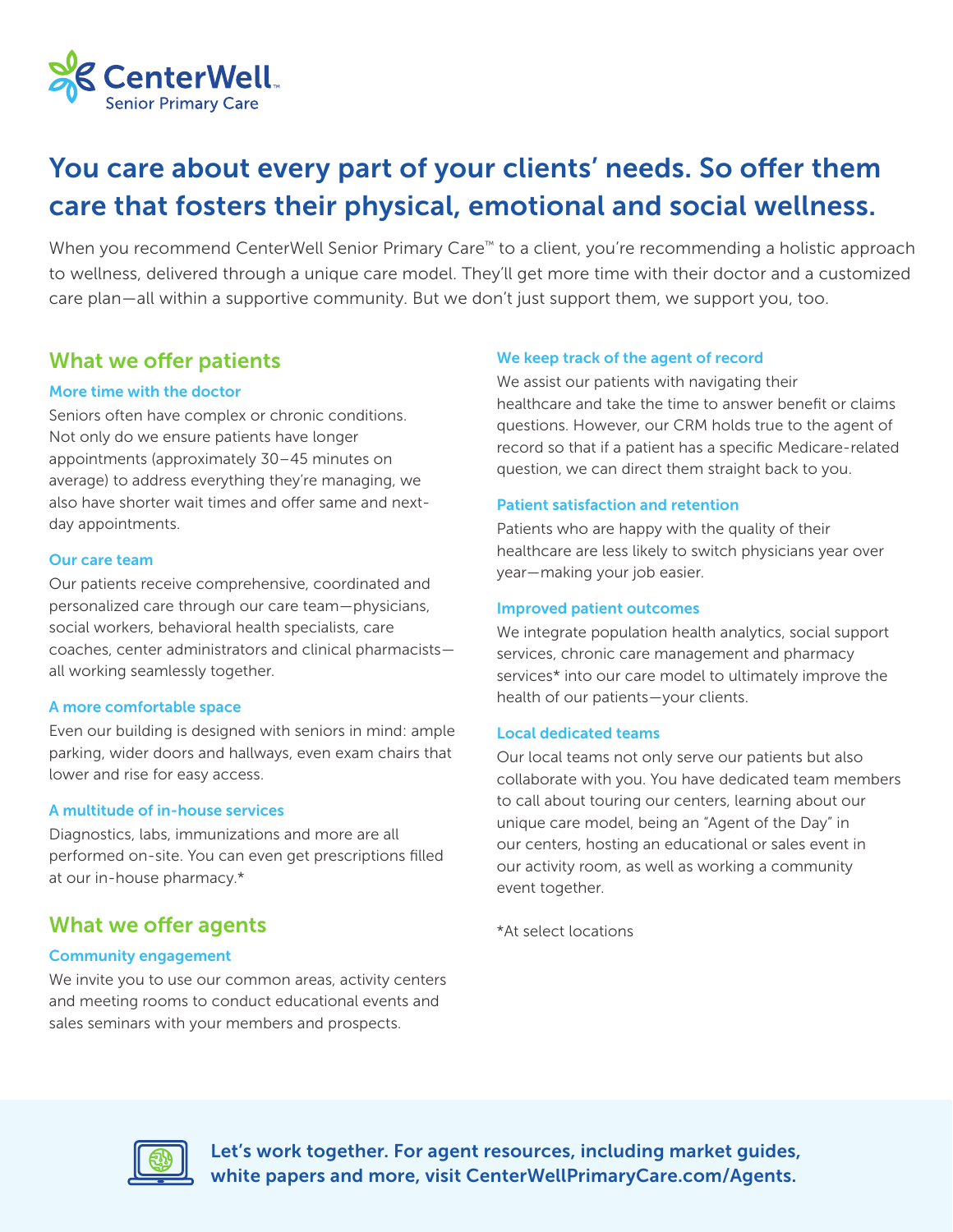

## You care about every part of your clients' needs. So offer them care that fosters their physical, emotional and social wellness.

When you recommend CenterWell Senior Primary Care<sup>™</sup> to a client, you're recommending a holistic approach to wellness, delivered through a unique care model. They'll get more time with their doctor and a customized care plan—all within a supportive community. But we don't just support them, we support you, too.

#### What we offer patients

#### More time with the doctor

Seniors often have complex or chronic conditions. Not only do we ensure patients have longer appointments (approximately 30–45 minutes on average) to address everything they're managing, we also have shorter wait times and offer same and nextday appointments.

#### Our care team

Our patients receive comprehensive, coordinated and personalized care through our care team—physicians, social workers, behavioral health specialists, care coaches, center administrators and clinical pharmacists all working seamlessly together.

#### A more comfortable space

Even our building is designed with seniors in mind: ample parking, wider doors and hallways, even exam chairs that lower and rise for easy access.

#### A multitude of in-house services

Diagnostics, labs, immunizations and more are all performed on-site. You can even get prescriptions filled at our in-house pharmacy.\*

#### What we offer agents

#### Community engagement

We invite you to use our common areas, activity centers and meeting rooms to conduct educational events and sales seminars with your members and prospects.

#### We keep track of the agent of record

We assist our patients with navigating their healthcare and take the time to answer benefit or claims questions. However, our CRM holds true to the agent of record so that if a patient has a specific Medicare-related question, we can direct them straight back to you.

#### Patient satisfaction and retention

Patients who are happy with the quality of their healthcare are less likely to switch physicians year over year—making your job easier.

#### Improved patient outcomes

We integrate population health analytics, social support services, chronic care management and pharmacy services\* into our care model to ultimately improve the health of our patients—your clients.

#### Local dedicated teams

Our local teams not only serve our patients but also collaborate with you. You have dedicated team members to call about touring our centers, learning about our unique care model, being an "Agent of the Day" in our centers, hosting an educational or sales event in our activity room, as well as working a community event together.

\*At select locations



Let's work together. For agent resources, including market guides, white papers and more, visit CenterWellPrimaryCare.com/Agents.